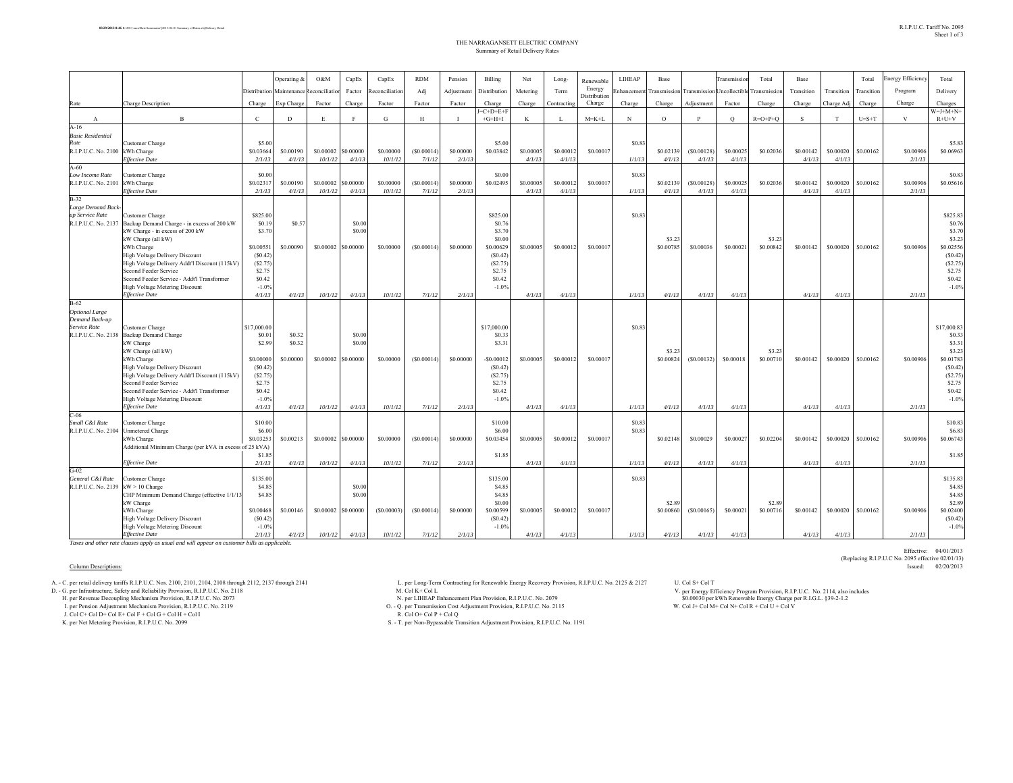|                                      |                                                         |              | Operating & | O&M         | CapEx        | CapEx         | <b>RDM</b> | Pension        | Billing       | Net       | Long-       | Renewable              | <b>LIHEAP</b> | Base        |                    | ransmissio    | Total       | Base       |            | Total       | <b>Energy Efficiency</b> | Total            |
|--------------------------------------|---------------------------------------------------------|--------------|-------------|-------------|--------------|---------------|------------|----------------|---------------|-----------|-------------|------------------------|---------------|-------------|--------------------|---------------|-------------|------------|------------|-------------|--------------------------|------------------|
|                                      |                                                         | Distribution | Maintenance | econciliati | Factor       | teconciliatio | Adj        | Adjustment     | Distribution  | Metering  | Term        | Energy                 | Enhancemen    | ransmission | <b>Transmissic</b> | Incollectible | ransmission | Transition | Transition | Transition  | Program                  | Delivery         |
| Rate                                 | Charge Description                                      | Charge       | Exp Charge  | Factor      | Charge       | Factor        | Factor     | Factor         | Charge        | Charge    | Contracting | Distribution<br>Charge | Charge        | Charge      | Adjustment         | Factor        | Charge      | Charge     | Charge Ad  | Charge      | Charge                   | Charges          |
|                                      |                                                         |              |             |             |              |               |            |                | $-C+D+E+F$    |           |             |                        |               |             |                    |               |             |            |            |             |                          | $W=J+M+N+$       |
| $\mathbf{A}$                         | $\mathbf{B}$                                            | $\mathbf{C}$ | D           | E           | $\mathbf{F}$ | G             | H          | $\blacksquare$ | $+G+H+I$      | K         | L           | $M = K + L$            | $_{\rm N}$    | $\circ$     | $\mathbf{p}$       | $\circ$       | $R=O+P+Q$   | S.         | T          | $U = S + T$ | V                        | $R+U+V$          |
| $A-16$<br><b>Basic Residential</b>   |                                                         |              |             |             |              |               |            |                |               |           |             |                        |               |             |                    |               |             |            |            |             |                          |                  |
| Rate                                 | Customer Charge                                         | \$5.00       |             |             |              |               |            |                | \$5.00        |           |             |                        | \$0.83        |             |                    |               |             |            |            |             |                          | \$5.83           |
| R.I.P.U.C. No. 2100 kWh Charge       |                                                         | \$0.03664    | \$0,00190   | \$0.00002   | \$0.00000    | \$0.00000     | (S0.00014) | \$0.00000      | \$0.03842     | \$0,00005 | \$0,00012   | \$0,00017              |               | \$0.02139   | (S0.00128)         | \$0,00025     | \$0.02036   | \$0.00142  | \$0.00020  | \$0.00162   | \$0.00906                | \$0.06963        |
|                                      | <b>Effective Date</b>                                   | 2/1/13       | 4/1/13      | 10/1/12     | 4/1/13       | 10/1/12       | 7/1/12     | 2/1/1          |               | 4/1/13    | 4/1/13      |                        | 1/1/13        | 4/1/13      | 4/1/13             | 4/1/13        |             | 4/1/13     | 4/1/13     |             | 2/1/13                   |                  |
| $A-60$                               |                                                         |              |             |             |              |               |            |                |               |           |             |                        |               |             |                    |               |             |            |            |             |                          |                  |
| Low Income Rate                      | Customer Charge                                         | \$0.00       |             |             |              |               |            |                | \$0.00        |           |             |                        | \$0.83        |             |                    |               |             |            |            |             |                          | \$0.83           |
| R.I.P.U.C. No. 2101                  | kWh Charge                                              | \$0.02317    | \$0.00190   | \$0.00002   | \$0.00000    | \$0.00000     | (S0.00014) | \$0,00000      | \$0.02495     | \$0,00005 | \$0.00012   | \$0.00017              |               | \$0.02139   | (S0.00128)         | \$0.00025     | \$0.02036   | \$0.00142  | \$0.00020  | \$0.00162   | \$0.00906                | \$0.05616        |
|                                      | <b>Effective Date</b>                                   | 2/1/13       | 4/1/13      | 10/1/12     | 4/1/13       | 10/1/12       | 7/1/12     | 2/1/13         |               | 4/1/13    | 4/1/13      |                        | 1/1/13        | 4/1/13      | 4/1/13             | 4/1/13        |             | 4/1/13     | 4/1/13     |             | 2/1/13                   |                  |
| $B-32$                               |                                                         |              |             |             |              |               |            |                |               |           |             |                        |               |             |                    |               |             |            |            |             |                          |                  |
| Large Demand Back<br>up Service Rate | <b>Customer Charge</b>                                  | \$825.00     |             |             |              |               |            |                | \$825.00      |           |             |                        | \$0.83        |             |                    |               |             |            |            |             |                          | \$825.83         |
| R.I.P.U.C. No. 2137                  | Backup Demand Charge - in excess of 200 kW              | \$0.19       | \$0.57      |             | \$0.00       |               |            |                | \$0.76        |           |             |                        |               |             |                    |               |             |            |            |             |                          | \$0.76           |
|                                      | kW Charge - in excess of 200 kW                         | \$3.70       |             |             | \$0.00       |               |            |                | \$3.70        |           |             |                        |               |             |                    |               |             |            |            |             |                          | \$3.70           |
|                                      | kW Charge (all kW)                                      |              |             |             |              |               |            |                | \$0.00        |           |             |                        |               | \$3.23      |                    |               | \$3.23      |            |            |             |                          | \$3.23           |
|                                      | kWh Charge                                              | \$0.00551    | \$0,00090   | \$0.00002   | \$0.00000    | \$0,00000     | (S0.00014) | \$0,00000      | \$0.00629     | \$0,00005 | \$0,00012   | \$0,00017              |               | \$0.00785   | \$0.00036          | \$0,00021     | \$0.00842   | \$0.00142  | \$0.00020  | \$0,00162   | \$0.00906                | \$0.02556        |
|                                      | High Voltage Delivery Discount                          | (S0.42)      |             |             |              |               |            |                | (S0.42)       |           |             |                        |               |             |                    |               |             |            |            |             |                          | (S0.42)          |
|                                      | High Voltage Delivery Addt'l Discount (115kV)           | (S2.75)      |             |             |              |               |            |                | (S2.75)       |           |             |                        |               |             |                    |               |             |            |            |             |                          | (S2.75)          |
|                                      | Second Feeder Service                                   | \$2.75       |             |             |              |               |            |                | \$2.75        |           |             |                        |               |             |                    |               |             |            |            |             |                          | \$2.75           |
|                                      | Second Feeder Service - Addt'l Transformer              | \$0.42       |             |             |              |               |            |                | \$0.42        |           |             |                        |               |             |                    |               |             |            |            |             |                          | \$0.42           |
|                                      | High Voltage Metering Discount                          | $-1.0%$      |             |             |              |               |            |                | $-1.0%$       |           |             |                        |               |             |                    |               |             |            |            |             |                          | $-1.0%$          |
|                                      | <b>Effective Date</b>                                   | 4/1/13       | 4/1/13      | 10/1/12     | 4/1/13       | 10/1/12       | 7/1/12     | 2/1/13         |               | 4/1/13    | 4/1/13      |                        | 1/1/13        | 4/1/13      | 4/1/13             | 4/1/13        |             | 4/1/13     | 4/1/13     |             | 2/1/13                   |                  |
| $B-62$                               |                                                         |              |             |             |              |               |            |                |               |           |             |                        |               |             |                    |               |             |            |            |             |                          |                  |
| <b>Optional Large</b>                |                                                         |              |             |             |              |               |            |                |               |           |             |                        |               |             |                    |               |             |            |            |             |                          |                  |
| Demand Back-up                       |                                                         |              |             |             |              |               |            |                |               |           |             |                        |               |             |                    |               |             |            |            |             |                          |                  |
| Service Rate                         | Customer Charge                                         | \$17,000.00  |             |             |              |               |            |                | \$17,000.00   |           |             |                        | \$0.83        |             |                    |               |             |            |            |             |                          | \$17,000.83      |
| R.I.P.U.C. No. 2138                  | <b>Backup Demand Charge</b>                             | \$0.01       | \$0.32      |             | \$0.00       |               |            |                | \$0.33        |           |             |                        |               |             |                    |               |             |            |            |             |                          | \$0.33           |
|                                      | kW Charge                                               | \$2.99       | \$0.32      |             | \$0.00       |               |            |                | \$3.31        |           |             |                        |               | \$3.23      |                    |               | \$3.23      |            |            |             |                          | \$3.31<br>\$3.23 |
|                                      | kW Charge (all kW)<br>kWh Charge                        | \$0.00000    | \$0,00000   | \$0.00002   | \$0.00000    | \$0,00000     | (S0.00014) | \$0,00000      | $-$ \$0.00012 | \$0,00005 | \$0,00012   | \$0,00017              |               | \$0.00824   | (S0.00132)         | \$0,00018     | \$0.00710   | \$0.00142  | \$0.00020  | \$0,00162   | \$0.00906                | \$0.01783        |
|                                      | High Voltage Delivery Discount                          | (S0.42)      |             |             |              |               |            |                | (S0.42)       |           |             |                        |               |             |                    |               |             |            |            |             |                          | (S0.42)          |
|                                      | High Voltage Delivery Addt'l Discount (115kV)           | (S2.75)      |             |             |              |               |            |                | (S2.75)       |           |             |                        |               |             |                    |               |             |            |            |             |                          | (S2.75)          |
|                                      | Second Feeder Service                                   | \$2.75       |             |             |              |               |            |                | \$2.75        |           |             |                        |               |             |                    |               |             |            |            |             |                          | \$2.75           |
|                                      | Second Feeder Service - Addt'l Transformer              | \$0.42       |             |             |              |               |            |                | \$0.42        |           |             |                        |               |             |                    |               |             |            |            |             |                          | \$0.42           |
|                                      | High Voltage Metering Discount                          | $-1.0%$      |             |             |              |               |            |                | $-1.0%$       |           |             |                        |               |             |                    |               |             |            |            |             |                          | $-1.0%$          |
|                                      | <b>Effective Date</b>                                   | 4/1/13       | 4/1/13      | 10/1/12     | 4/1/13       | 10/1/12       | 7/1/12     | 2/1/13         |               | 4/1/13    | 4/1/13      |                        | 1/1/13        | 4/1/13      | 4/1/13             | 4/1/13        |             | 4/1/13     | 4/1/13     |             | 2/1/13                   |                  |
| $C-06$                               |                                                         |              |             |             |              |               |            |                |               |           |             |                        |               |             |                    |               |             |            |            |             |                          |                  |
| Small C&I Rate                       | Customer Charge                                         | \$10.00      |             |             |              |               |            |                | \$10.00       |           |             |                        | \$0.83        |             |                    |               |             |            |            |             |                          | \$10.83          |
| R.I.P.U.C. No. 2104                  | <b>Unmetered Charge</b>                                 | \$6.00       |             |             |              |               |            |                | \$6.00        |           |             |                        | \$0.83        |             |                    |               |             |            |            |             |                          | \$6.83           |
|                                      | kWh Charge                                              | \$0.03253    | \$0.00213   | \$0.00002   | \$0.00000    | \$0.00000     | (S0.00014) | \$0.00000      | \$0.03454     | \$0.00005 | \$0,00012   | \$0.00017              |               | \$0.02148   | \$0.00029          | \$0.00027     | \$0.02204   | \$0.00142  | \$0.00020  | \$0.00162   | \$0.00906                | \$0.06743        |
|                                      | Additional Minimum Charge (per kVA in excess of 25 kVA) |              |             |             |              |               |            |                |               |           |             |                        |               |             |                    |               |             |            |            |             |                          |                  |
|                                      |                                                         | \$1.85       |             |             |              |               |            |                | \$1.85        |           |             |                        |               |             |                    |               |             |            |            |             |                          | \$1.85           |
|                                      | <b>Effective Date</b>                                   | 2/1/13       | 4/1/13      | 10/1/12     | 4/1/13       | 10/1/12       | 7/1/12     | 2/1/13         |               | 4/1/13    | 4/1/13      |                        | 1/1/13        | 4/1/13      | 4/1/13             | 4/1/13        |             | 4/1/13     | 4/1/13     |             | 2/1/13                   |                  |
| $G-02$<br>General C&I Rate           |                                                         | \$135.00     |             |             |              |               |            |                | \$135.00      |           |             |                        | \$0.83        |             |                    |               |             |            |            |             |                          | \$135.83         |
| R.I.P.U.C. No. 2139 kW > 10 Charge   | <b>Customer Charge</b>                                  | \$4.85       |             |             | \$0.00       |               |            |                | \$4.85        |           |             |                        |               |             |                    |               |             |            |            |             |                          | \$4.85           |
|                                      | CHP Minimum Demand Charge (effective 1/1/13             | \$4.85       |             |             | \$0.00       |               |            |                | \$4.85        |           |             |                        |               |             |                    |               |             |            |            |             |                          | \$4.85           |
|                                      | kW Charge                                               |              |             |             |              |               |            |                | \$0.00        |           |             |                        |               | \$2.89      |                    |               | \$2.89      |            |            |             |                          | \$2.89           |
|                                      | kWh Charge                                              | \$0.00468    | \$0.00146   | \$0.00002   | \$0.00000    | (S0.00003)    | (S0.00014) | \$0,00000      | \$0.00599     | \$0,00005 | \$0,00012   | \$0,00017              |               | \$0.00860   | (S0.00165)         | \$0,00021     | \$0.00716   | \$0.00142  | \$0.00020  | \$0.00162   | \$0.00906                | \$0.02400        |
|                                      | <b>High Voltage Delivery Discount</b>                   | (S0.42)      |             |             |              |               |            |                | (S0.42)       |           |             |                        |               |             |                    |               |             |            |            |             |                          | (S0.42)          |
|                                      | <b>High Voltage Metering Discount</b>                   | $-1.0%$      |             |             |              |               |            |                | $-1.0%$       |           |             |                        |               |             |                    |               |             |            |            |             |                          | $-1.0%$          |
|                                      | <b>Effective Date</b>                                   | 2/1/13       | 4/1/13      | 10/1/12     | 4/1/13       | 10/1/12       | 7/1/12     | 2/1/13         |               | 4/1/13    | 4/1/13      |                        | 1/1/13        | 4/1/13      | 4/1/13             | 4/1/13        |             | 4/1/13     | 4/1/13     |             | 2/1/13                   |                  |

*Taxes and other rate clauses apply as usual and will appear on customer bills as applicable.*

## Column Descriptions: Issued: 02/20/2013

K. per Net Metering Provision, R.I.P.U.C. No. 2099 S. - T. per Non-Bypassable Transition Adjustment Provision, R.I.P.U.C. No. 1191

A. - C. per treat delivery provision, R.IP.U.C. No. 2125 & 2127 U.C. No. 2125 & 2127 U.C. No. 2125 & 2127 U.C.<br>
A. Col Ber Long-Term Contracting for Renewable Energy Channel Man Provision, R.IP.U.C. No. 2125 & 2127 U.C. N per Energy Efficiency Program Provision, R.I.P.U.C. No. 2114, also includes \$0.00030 per kWh Renewable Energy Charge per R.I.G.L. §39-2-1.2

Effective: 04/01/2013

(Replacing R.I.P.U.C No. 2095 effective 02/01/13)